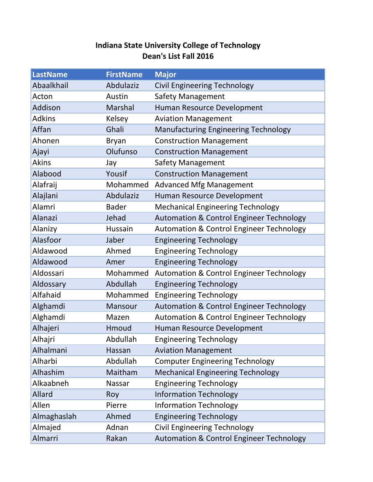## **Indiana State University College of Technology Dean's List Fall 2016**

| <b>LastName</b> | <b>FirstName</b> | <b>Major</b>                                        |
|-----------------|------------------|-----------------------------------------------------|
| Abaalkhail      | Abdulaziz        | <b>Civil Engineering Technology</b>                 |
| Acton           | Austin           | <b>Safety Management</b>                            |
| Addison         | Marshal          | Human Resource Development                          |
| <b>Adkins</b>   | Kelsey           | <b>Aviation Management</b>                          |
| Affan           | Ghali            | <b>Manufacturing Engineering Technology</b>         |
| Ahonen          | <b>Bryan</b>     | <b>Construction Management</b>                      |
| Ajayi           | Olufunso         | <b>Construction Management</b>                      |
| <b>Akins</b>    | Jay              | <b>Safety Management</b>                            |
| Alabood         | Yousif           | <b>Construction Management</b>                      |
| Alafraij        | Mohammed         | <b>Advanced Mfg Management</b>                      |
| Alajlani        | Abdulaziz        | Human Resource Development                          |
| Alamri          | <b>Bader</b>     | <b>Mechanical Engineering Technology</b>            |
| Alanazi         | Jehad            | <b>Automation &amp; Control Engineer Technology</b> |
| Alanizy         | Hussain          | <b>Automation &amp; Control Engineer Technology</b> |
| Alasfoor        | Jaber            | <b>Engineering Technology</b>                       |
| Aldawood        | Ahmed            | <b>Engineering Technology</b>                       |
| Aldawood        | Amer             | <b>Engineering Technology</b>                       |
| Aldossari       | Mohammed         | <b>Automation &amp; Control Engineer Technology</b> |
| Aldossary       | Abdullah         | <b>Engineering Technology</b>                       |
| Alfahaid        | Mohammed         | <b>Engineering Technology</b>                       |
| Alghamdi        | Mansour          | <b>Automation &amp; Control Engineer Technology</b> |
| Alghamdi        | Mazen            | <b>Automation &amp; Control Engineer Technology</b> |
| Alhajeri        | Hmoud            | Human Resource Development                          |
| Alhajri         | Abdullah         | <b>Engineering Technology</b>                       |
| Alhalmani       | Hassan           | <b>Aviation Management</b>                          |
| Alharbi         | Abdullah         | <b>Computer Engineering Technology</b>              |
| Alhashim        | Maitham          | <b>Mechanical Engineering Technology</b>            |
| Alkaabneh       | Nassar           | <b>Engineering Technology</b>                       |
| Allard          | Roy              | <b>Information Technology</b>                       |
| Allen           | Pierre           | <b>Information Technology</b>                       |
| Almaghaslah     | Ahmed            | <b>Engineering Technology</b>                       |
| Almajed         | Adnan            | <b>Civil Engineering Technology</b>                 |
| <b>Almarri</b>  | Rakan            | <b>Automation &amp; Control Engineer Technology</b> |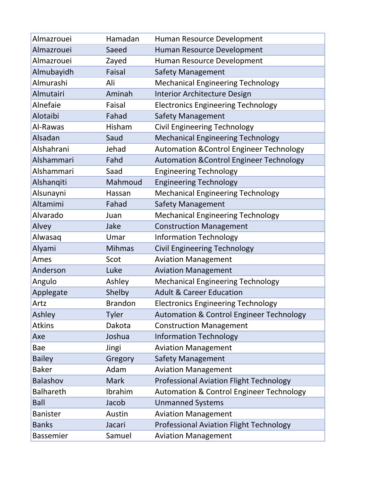| Almazrouei       | Hamadan        | Human Resource Development                          |
|------------------|----------------|-----------------------------------------------------|
| Almazrouei       | Saeed          | Human Resource Development                          |
| Almazrouei       | Zayed          | Human Resource Development                          |
| Almubayidh       | Faisal         | <b>Safety Management</b>                            |
| Almurashi        | Ali            | <b>Mechanical Engineering Technology</b>            |
| Almutairi        | Aminah         | Interior Architecture Design                        |
| Alnefaie         | Faisal         | <b>Electronics Engineering Technology</b>           |
| Alotaibi         | Fahad          | <b>Safety Management</b>                            |
| Al-Rawas         | Hisham         | <b>Civil Engineering Technology</b>                 |
| Alsadan          | Saud           | <b>Mechanical Engineering Technology</b>            |
| Alshahrani       | Jehad          | <b>Automation &amp; Control Engineer Technology</b> |
| Alshammari       | Fahd           | <b>Automation &amp; Control Engineer Technology</b> |
| Alshammari       | Saad           | <b>Engineering Technology</b>                       |
| Alshanqiti       | Mahmoud        | <b>Engineering Technology</b>                       |
| Alsunayni        | Hassan         | <b>Mechanical Engineering Technology</b>            |
| Altamimi         | Fahad          | <b>Safety Management</b>                            |
| Alvarado         | Juan           | <b>Mechanical Engineering Technology</b>            |
| Alvey            | Jake           | <b>Construction Management</b>                      |
| Alwasaq          | Umar           | <b>Information Technology</b>                       |
| Alyami           | <b>Mihmas</b>  | <b>Civil Engineering Technology</b>                 |
| Ames             | Scot           | <b>Aviation Management</b>                          |
| Anderson         | Luke           | <b>Aviation Management</b>                          |
| Angulo           | Ashley         | <b>Mechanical Engineering Technology</b>            |
| Applegate        | Shelby         | <b>Adult &amp; Career Education</b>                 |
| Artz             | <b>Brandon</b> | <b>Electronics Engineering Technology</b>           |
| Ashley           | Tyler          | <b>Automation &amp; Control Engineer Technology</b> |
| <b>Atkins</b>    | Dakota         | <b>Construction Management</b>                      |
| Axe              | Joshua         | <b>Information Technology</b>                       |
| Bae              | Jingi          | <b>Aviation Management</b>                          |
| <b>Bailey</b>    | Gregory        | <b>Safety Management</b>                            |
| <b>Baker</b>     | Adam           | <b>Aviation Management</b>                          |
| <b>Balashov</b>  | <b>Mark</b>    | <b>Professional Aviation Flight Technology</b>      |
| <b>Balhareth</b> | Ibrahim        | <b>Automation &amp; Control Engineer Technology</b> |
| <b>Ball</b>      | Jacob          | <b>Unmanned Systems</b>                             |
| <b>Banister</b>  | Austin         | <b>Aviation Management</b>                          |
| <b>Banks</b>     | Jacari         | <b>Professional Aviation Flight Technology</b>      |
| Bassemier        | Samuel         | <b>Aviation Management</b>                          |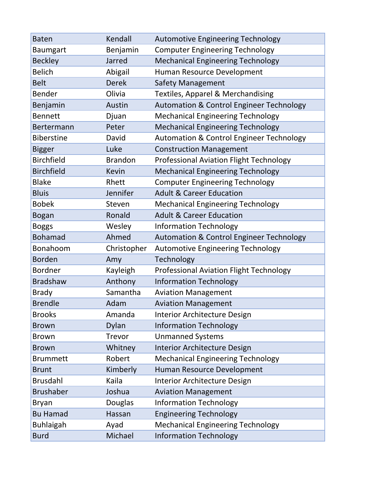| <b>Baten</b>      | Kendall        | <b>Automotive Engineering Technology</b>            |
|-------------------|----------------|-----------------------------------------------------|
| <b>Baumgart</b>   | Benjamin       | <b>Computer Engineering Technology</b>              |
| <b>Beckley</b>    | Jarred         | <b>Mechanical Engineering Technology</b>            |
| <b>Belich</b>     | Abigail        | Human Resource Development                          |
| <b>Belt</b>       | <b>Derek</b>   | <b>Safety Management</b>                            |
| <b>Bender</b>     | Olivia         | <b>Textiles, Apparel &amp; Merchandising</b>        |
| Benjamin          | Austin         | <b>Automation &amp; Control Engineer Technology</b> |
| <b>Bennett</b>    | Djuan          | <b>Mechanical Engineering Technology</b>            |
| Bertermann        | Peter          | <b>Mechanical Engineering Technology</b>            |
| <b>Biberstine</b> | David          | <b>Automation &amp; Control Engineer Technology</b> |
| <b>Bigger</b>     | Luke           | <b>Construction Management</b>                      |
| <b>Birchfield</b> | <b>Brandon</b> | <b>Professional Aviation Flight Technology</b>      |
| <b>Birchfield</b> | <b>Kevin</b>   | <b>Mechanical Engineering Technology</b>            |
| <b>Blake</b>      | Rhett          | <b>Computer Engineering Technology</b>              |
| <b>Bluis</b>      | Jennifer       | <b>Adult &amp; Career Education</b>                 |
| <b>Bobek</b>      | Steven         | <b>Mechanical Engineering Technology</b>            |
| <b>Bogan</b>      | Ronald         | <b>Adult &amp; Career Education</b>                 |
| <b>Boggs</b>      | Wesley         | <b>Information Technology</b>                       |
| <b>Bohamad</b>    | Ahmed          | <b>Automation &amp; Control Engineer Technology</b> |
| Bonahoom          | Christopher    | <b>Automotive Engineering Technology</b>            |
| <b>Borden</b>     | Amy            | Technology                                          |
| <b>Bordner</b>    | Kayleigh       | <b>Professional Aviation Flight Technology</b>      |
| <b>Bradshaw</b>   | Anthony        | <b>Information Technology</b>                       |
| <b>Brady</b>      | Samantha       | <b>Aviation Management</b>                          |
| <b>Brendle</b>    | Adam           | <b>Aviation Management</b>                          |
| <b>Brooks</b>     | Amanda         | Interior Architecture Design                        |
| <b>Brown</b>      | Dylan          | <b>Information Technology</b>                       |
| <b>Brown</b>      | Trevor         | <b>Unmanned Systems</b>                             |
| <b>Brown</b>      | Whitney        | Interior Architecture Design                        |
| <b>Brummett</b>   | Robert         | <b>Mechanical Engineering Technology</b>            |
| <b>Brunt</b>      | Kimberly       | Human Resource Development                          |
| <b>Brusdahl</b>   | Kaila          | <b>Interior Architecture Design</b>                 |
| <b>Brushaber</b>  | Joshua         | <b>Aviation Management</b>                          |
| <b>Bryan</b>      | Douglas        | <b>Information Technology</b>                       |
| <b>Bu Hamad</b>   | Hassan         | <b>Engineering Technology</b>                       |
| <b>Buhlaigah</b>  | Ayad           | <b>Mechanical Engineering Technology</b>            |
| <b>Burd</b>       | Michael        | <b>Information Technology</b>                       |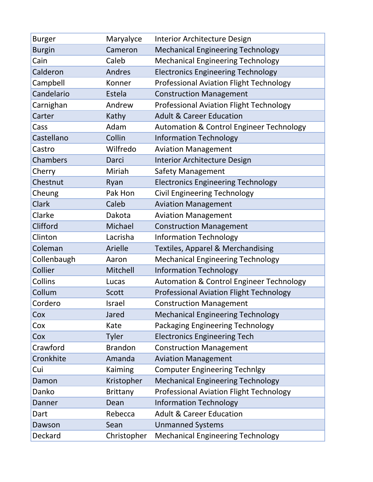| <b>Burger</b> | Maryalyce       | Interior Architecture Design                        |
|---------------|-----------------|-----------------------------------------------------|
| <b>Burgin</b> | Cameron         | <b>Mechanical Engineering Technology</b>            |
| Cain          | Caleb           | <b>Mechanical Engineering Technology</b>            |
| Calderon      | Andres          | <b>Electronics Engineering Technology</b>           |
| Campbell      | Konner          | <b>Professional Aviation Flight Technology</b>      |
| Candelario    | Estela          | <b>Construction Management</b>                      |
| Carnighan     | Andrew          | <b>Professional Aviation Flight Technology</b>      |
| Carter        | Kathy           | <b>Adult &amp; Career Education</b>                 |
| Cass          | Adam            | <b>Automation &amp; Control Engineer Technology</b> |
| Castellano    | Collin          | <b>Information Technology</b>                       |
| Castro        | Wilfredo        | <b>Aviation Management</b>                          |
| Chambers      | Darci           | Interior Architecture Design                        |
| Cherry        | Miriah          | Safety Management                                   |
| Chestnut      | Ryan            | <b>Electronics Engineering Technology</b>           |
| Cheung        | Pak Hon         | <b>Civil Engineering Technology</b>                 |
| <b>Clark</b>  | Caleb           | <b>Aviation Management</b>                          |
| Clarke        | Dakota          | <b>Aviation Management</b>                          |
| Clifford      | Michael         | <b>Construction Management</b>                      |
| Clinton       | Lacrisha        | <b>Information Technology</b>                       |
| Coleman       | Arielle         | Textiles, Apparel & Merchandising                   |
| Collenbaugh   | Aaron           | <b>Mechanical Engineering Technology</b>            |
| Collier       | Mitchell        | <b>Information Technology</b>                       |
| Collins       | Lucas           | <b>Automation &amp; Control Engineer Technology</b> |
| Collum        | Scott           | <b>Professional Aviation Flight Technology</b>      |
| Cordero       | Israel          | <b>Construction Management</b>                      |
| Cox           | Jared           | <b>Mechanical Engineering Technology</b>            |
| Cox           | Kate            | Packaging Engineering Technology                    |
| Cox           | <b>Tyler</b>    | <b>Electronics Engineering Tech</b>                 |
| Crawford      | <b>Brandon</b>  | <b>Construction Management</b>                      |
| Cronkhite     | Amanda          | <b>Aviation Management</b>                          |
| Cui           | Kaiming         | <b>Computer Engineering Technlgy</b>                |
| Damon         | Kristopher      | <b>Mechanical Engineering Technology</b>            |
| Danko         | <b>Brittany</b> | <b>Professional Aviation Flight Technology</b>      |
| Danner        | Dean            | <b>Information Technology</b>                       |
| Dart          | Rebecca         | <b>Adult &amp; Career Education</b>                 |
| Dawson        | Sean            | <b>Unmanned Systems</b>                             |
| Deckard       | Christopher     | <b>Mechanical Engineering Technology</b>            |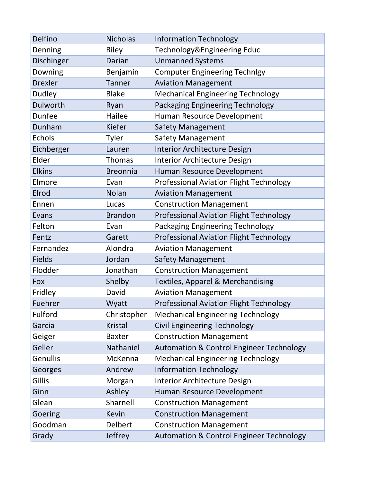| Delfino        | <b>Nicholas</b> | <b>Information Technology</b>                       |
|----------------|-----------------|-----------------------------------------------------|
| Denning        | Riley           | Technology&Engineering Educ                         |
| Dischinger     | Darian          | <b>Unmanned Systems</b>                             |
| Downing        | Benjamin        | <b>Computer Engineering Technlgy</b>                |
| <b>Drexler</b> | <b>Tanner</b>   | <b>Aviation Management</b>                          |
| <b>Dudley</b>  | <b>Blake</b>    | <b>Mechanical Engineering Technology</b>            |
| Dulworth       | Ryan            | Packaging Engineering Technology                    |
| Dunfee         | Hailee          | Human Resource Development                          |
| Dunham         | Kiefer          | <b>Safety Management</b>                            |
| <b>Echols</b>  | Tyler           | Safety Management                                   |
| Eichberger     | Lauren          | Interior Architecture Design                        |
| Elder          | <b>Thomas</b>   | Interior Architecture Design                        |
| <b>Elkins</b>  | <b>Breonnia</b> | Human Resource Development                          |
| Elmore         | Evan            | <b>Professional Aviation Flight Technology</b>      |
| Elrod          | Nolan           | <b>Aviation Management</b>                          |
| Ennen          | Lucas           | <b>Construction Management</b>                      |
| Evans          | <b>Brandon</b>  | <b>Professional Aviation Flight Technology</b>      |
| Felton         | Evan            | <b>Packaging Engineering Technology</b>             |
| Fentz          | Garett          | <b>Professional Aviation Flight Technology</b>      |
| Fernandez      | Alondra         | <b>Aviation Management</b>                          |
| <b>Fields</b>  | Jordan          | <b>Safety Management</b>                            |
| Flodder        | Jonathan        | <b>Construction Management</b>                      |
| Fox            | Shelby          | <b>Textiles, Apparel &amp; Merchandising</b>        |
| Fridley        | David           | <b>Aviation Management</b>                          |
| Fuehrer        | Wyatt           | <b>Professional Aviation Flight Technology</b>      |
| Fulford        | Christopher     | <b>Mechanical Engineering Technology</b>            |
| Garcia         | <b>Kristal</b>  | <b>Civil Engineering Technology</b>                 |
| Geiger         | <b>Baxter</b>   | <b>Construction Management</b>                      |
| Geller         | Nathaniel       | <b>Automation &amp; Control Engineer Technology</b> |
| Genullis       | McKenna         | <b>Mechanical Engineering Technology</b>            |
| Georges        | Andrew          | <b>Information Technology</b>                       |
| Gillis         | Morgan          | Interior Architecture Design                        |
| Ginn           | Ashley          | Human Resource Development                          |
| Glean          | Sharnell        | <b>Construction Management</b>                      |
| Goering        | <b>Kevin</b>    | <b>Construction Management</b>                      |
| Goodman        | Delbert         | <b>Construction Management</b>                      |
| Grady          | Jeffrey         | <b>Automation &amp; Control Engineer Technology</b> |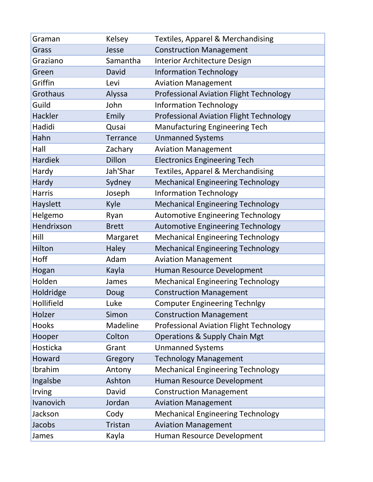| Graman         | Kelsey          | <b>Textiles, Apparel &amp; Merchandising</b>   |
|----------------|-----------------|------------------------------------------------|
| Grass          | Jesse           | <b>Construction Management</b>                 |
| Graziano       | Samantha        | Interior Architecture Design                   |
| Green          | David           | <b>Information Technology</b>                  |
| Griffin        | Levi            | <b>Aviation Management</b>                     |
| Grothaus       | Alyssa          | <b>Professional Aviation Flight Technology</b> |
| Guild          | John            | <b>Information Technology</b>                  |
| Hackler        | Emily           | <b>Professional Aviation Flight Technology</b> |
| Hadidi         | Qusai           | <b>Manufacturing Engineering Tech</b>          |
| Hahn           | <b>Terrance</b> | <b>Unmanned Systems</b>                        |
| Hall           | Zachary         | <b>Aviation Management</b>                     |
| <b>Hardiek</b> | Dillon          | <b>Electronics Engineering Tech</b>            |
| Hardy          | Jah'Shar        | <b>Textiles, Apparel &amp; Merchandising</b>   |
| Hardy          | Sydney          | <b>Mechanical Engineering Technology</b>       |
| <b>Harris</b>  | Joseph          | <b>Information Technology</b>                  |
| Hayslett       | Kyle            | <b>Mechanical Engineering Technology</b>       |
| Helgemo        | Ryan            | <b>Automotive Engineering Technology</b>       |
| Hendrixson     | <b>Brett</b>    | <b>Automotive Engineering Technology</b>       |
| Hill           | Margaret        | <b>Mechanical Engineering Technology</b>       |
| Hilton         | <b>Haley</b>    | <b>Mechanical Engineering Technology</b>       |
| Hoff           | Adam            | <b>Aviation Management</b>                     |
| Hogan          | Kayla           | Human Resource Development                     |
| Holden         | James           | <b>Mechanical Engineering Technology</b>       |
| Holdridge      | Doug            | <b>Construction Management</b>                 |
| Hollifield     | Luke            | <b>Computer Engineering Technlgy</b>           |
| Holzer         | Simon           | <b>Construction Management</b>                 |
| <b>Hooks</b>   | Madeline        | <b>Professional Aviation Flight Technology</b> |
| Hooper         | Colton          | <b>Operations &amp; Supply Chain Mgt</b>       |
| Hosticka       | Grant           | <b>Unmanned Systems</b>                        |
| Howard         | Gregory         | <b>Technology Management</b>                   |
| Ibrahim        | Antony          | <b>Mechanical Engineering Technology</b>       |
| Ingalsbe       | Ashton          | Human Resource Development                     |
| Irving         | David           | <b>Construction Management</b>                 |
| Ivanovich      | Jordan          | <b>Aviation Management</b>                     |
| Jackson        | Cody            | <b>Mechanical Engineering Technology</b>       |
| Jacobs         | <b>Tristan</b>  | <b>Aviation Management</b>                     |
| James          | Kayla           | Human Resource Development                     |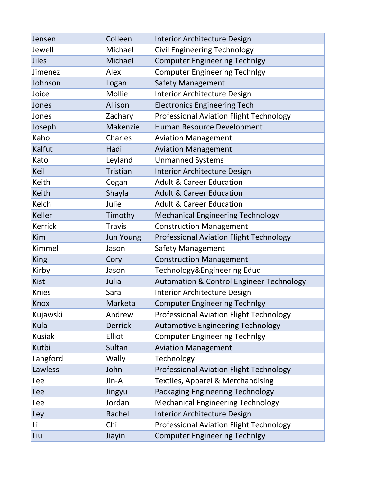| Jensen         | Colleen          | Interior Architecture Design                        |
|----------------|------------------|-----------------------------------------------------|
| Jewell         | Michael          | <b>Civil Engineering Technology</b>                 |
| Jiles          | Michael          | <b>Computer Engineering Technlgy</b>                |
| Jimenez        | Alex             | <b>Computer Engineering Technlgy</b>                |
| Johnson        | Logan            | <b>Safety Management</b>                            |
| Joice          | Mollie           | Interior Architecture Design                        |
| Jones          | Allison          | <b>Electronics Engineering Tech</b>                 |
| Jones          | Zachary          | <b>Professional Aviation Flight Technology</b>      |
| Joseph         | Makenzie         | Human Resource Development                          |
| Kaho           | Charles          | <b>Aviation Management</b>                          |
| Kalfut         | Hadi             | <b>Aviation Management</b>                          |
| Kato           | Leyland          | <b>Unmanned Systems</b>                             |
| Keil           | Tristian         | <b>Interior Architecture Design</b>                 |
| Keith          | Cogan            | <b>Adult &amp; Career Education</b>                 |
| Keith          | Shayla           | <b>Adult &amp; Career Education</b>                 |
| Kelch          | Julie            | <b>Adult &amp; Career Education</b>                 |
| <b>Keller</b>  | Timothy          | <b>Mechanical Engineering Technology</b>            |
| <b>Kerrick</b> | <b>Travis</b>    | <b>Construction Management</b>                      |
| Kim            | <b>Jun Young</b> | <b>Professional Aviation Flight Technology</b>      |
| Kimmel         | Jason            | <b>Safety Management</b>                            |
| <b>King</b>    | Cory             | <b>Construction Management</b>                      |
| Kirby          | Jason            | Technology&Engineering Educ                         |
| <b>Kist</b>    | Julia            | <b>Automation &amp; Control Engineer Technology</b> |
| <b>Knies</b>   | Sara             | Interior Architecture Design                        |
| Knox           | Marketa          | <b>Computer Engineering Technlgy</b>                |
| Kujawski       | Andrew           | <b>Professional Aviation Flight Technology</b>      |
| Kula           | <b>Derrick</b>   | <b>Automotive Engineering Technology</b>            |
| <b>Kusiak</b>  | Elliot           | <b>Computer Engineering Technlgy</b>                |
| Kutbi          | Sultan           | <b>Aviation Management</b>                          |
| Langford       | Wally            | Technology                                          |
| Lawless        | John             | <b>Professional Aviation Flight Technology</b>      |
| Lee            | Jin-A            | <b>Textiles, Apparel &amp; Merchandising</b>        |
| Lee            | Jingyu           | Packaging Engineering Technology                    |
| Lee            | Jordan           | <b>Mechanical Engineering Technology</b>            |
| Ley            | Rachel           | <b>Interior Architecture Design</b>                 |
| Li             | Chi              | <b>Professional Aviation Flight Technology</b>      |
| Liu            | Jiayin           | <b>Computer Engineering Technlgy</b>                |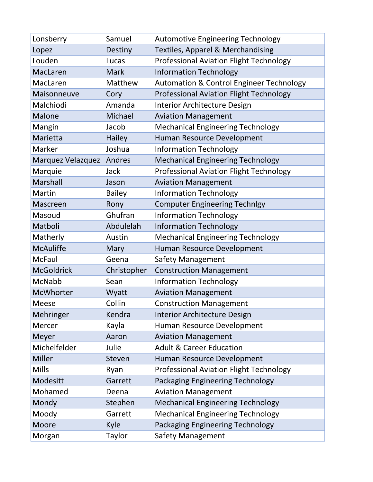| Lonsberry         | Samuel        | <b>Automotive Engineering Technology</b>            |
|-------------------|---------------|-----------------------------------------------------|
| Lopez             | Destiny       | <b>Textiles, Apparel &amp; Merchandising</b>        |
| Louden            | Lucas         | <b>Professional Aviation Flight Technology</b>      |
| MacLaren          | <b>Mark</b>   | <b>Information Technology</b>                       |
| MacLaren          | Matthew       | <b>Automation &amp; Control Engineer Technology</b> |
| Maisonneuve       | Cory          | <b>Professional Aviation Flight Technology</b>      |
| Malchiodi         | Amanda        | <b>Interior Architecture Design</b>                 |
| <b>Malone</b>     | Michael       | <b>Aviation Management</b>                          |
| Mangin            | Jacob         | <b>Mechanical Engineering Technology</b>            |
| Marietta          | Hailey        | Human Resource Development                          |
| Marker            | Joshua        | <b>Information Technology</b>                       |
| Marquez Velazquez | Andres        | <b>Mechanical Engineering Technology</b>            |
| Marquie           | Jack          | <b>Professional Aviation Flight Technology</b>      |
| <b>Marshall</b>   | Jason         | <b>Aviation Management</b>                          |
| Martin            | <b>Bailey</b> | <b>Information Technology</b>                       |
| Mascreen          | Rony          | <b>Computer Engineering Technlgy</b>                |
| Masoud            | Ghufran       | <b>Information Technology</b>                       |
| Matboli           | Abdulelah     | <b>Information Technology</b>                       |
| Matherly          | Austin        | <b>Mechanical Engineering Technology</b>            |
| <b>McAuliffe</b>  | Mary          | Human Resource Development                          |
| <b>McFaul</b>     | Geena         | <b>Safety Management</b>                            |
| <b>McGoldrick</b> | Christopher   | <b>Construction Management</b>                      |
| McNabb            | Sean          | <b>Information Technology</b>                       |
| <b>McWhorter</b>  | Wyatt         | <b>Aviation Management</b>                          |
| <b>Meese</b>      | Collin        | <b>Construction Management</b>                      |
| Mehringer         | Kendra        | Interior Architecture Design                        |
| Mercer            | Kayla         | Human Resource Development                          |
| Meyer             | Aaron         | <b>Aviation Management</b>                          |
| Michelfelder      | Julie         | <b>Adult &amp; Career Education</b>                 |
| <b>Miller</b>     | Steven        | Human Resource Development                          |
| <b>Mills</b>      | Ryan          | <b>Professional Aviation Flight Technology</b>      |
| Modesitt          | Garrett       | Packaging Engineering Technology                    |
| Mohamed           | Deena         | <b>Aviation Management</b>                          |
| Mondy             | Stephen       | <b>Mechanical Engineering Technology</b>            |
| Moody             | Garrett       | <b>Mechanical Engineering Technology</b>            |
| <b>Moore</b>      | Kyle          | Packaging Engineering Technology                    |
| Morgan            | <b>Taylor</b> | <b>Safety Management</b>                            |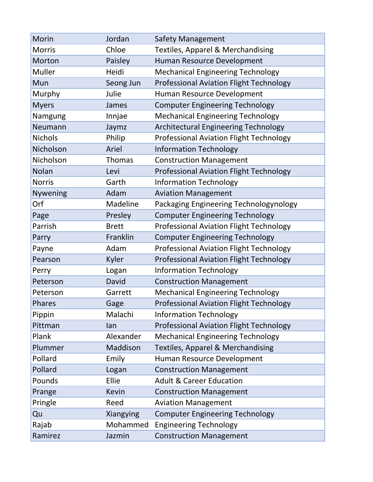| Morin           | Jordan       | <b>Safety Management</b>                       |
|-----------------|--------------|------------------------------------------------|
| <b>Morris</b>   | Chloe        | <b>Textiles, Apparel &amp; Merchandising</b>   |
| Morton          | Paisley      | Human Resource Development                     |
| Muller          | Heidi        | <b>Mechanical Engineering Technology</b>       |
| Mun             | Seong Jun    | <b>Professional Aviation Flight Technology</b> |
| Murphy          | Julie        | Human Resource Development                     |
| <b>Myers</b>    | James        | <b>Computer Engineering Technology</b>         |
| Namgung         | Innjae       | <b>Mechanical Engineering Technology</b>       |
| Neumann         | Jaymz        | Architectural Engineering Technology           |
| <b>Nichols</b>  | Philip       | <b>Professional Aviation Flight Technology</b> |
| Nicholson       | Ariel        | <b>Information Technology</b>                  |
| Nicholson       | Thomas       | <b>Construction Management</b>                 |
| Nolan           | Levi         | <b>Professional Aviation Flight Technology</b> |
| <b>Norris</b>   | Garth        | <b>Information Technology</b>                  |
| <b>Nywening</b> | Adam         | <b>Aviation Management</b>                     |
| Orf             | Madeline     | Packaging Engineering Technologynology         |
| Page            | Presley      | <b>Computer Engineering Technology</b>         |
| Parrish         | <b>Brett</b> | <b>Professional Aviation Flight Technology</b> |
| Parry           | Franklin     | <b>Computer Engineering Technology</b>         |
| Payne           | Adam         | <b>Professional Aviation Flight Technology</b> |
| Pearson         | <b>Kyler</b> | <b>Professional Aviation Flight Technology</b> |
| Perry           | Logan        | <b>Information Technology</b>                  |
| Peterson        | David        | <b>Construction Management</b>                 |
| Peterson        | Garrett      | <b>Mechanical Engineering Technology</b>       |
| Phares          | Gage         | Professional Aviation Flight Technology        |
| Pippin          | Malachi      | <b>Information Technology</b>                  |
| Pittman         | lan          | <b>Professional Aviation Flight Technology</b> |
| Plank           | Alexander    | <b>Mechanical Engineering Technology</b>       |
| Plummer         | Maddison     | <b>Textiles, Apparel &amp; Merchandising</b>   |
| Pollard         | Emily        | Human Resource Development                     |
| Pollard         | Logan        | <b>Construction Management</b>                 |
| Pounds          | Ellie        | <b>Adult &amp; Career Education</b>            |
| Prange          | <b>Kevin</b> | <b>Construction Management</b>                 |
| Pringle         | Reed         | <b>Aviation Management</b>                     |
| Qu              | Xiangying    | <b>Computer Engineering Technology</b>         |
| Rajab           | Mohammed     | <b>Engineering Technology</b>                  |
| Ramirez         | Jazmin       | <b>Construction Management</b>                 |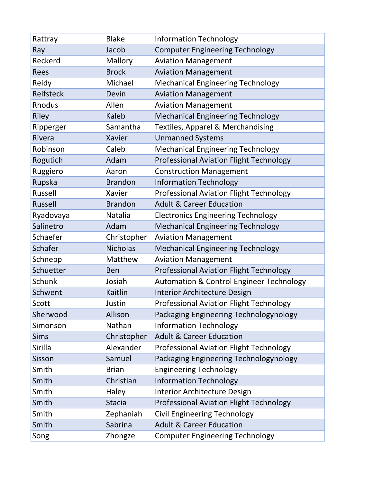| Rattray          | <b>Blake</b>    | <b>Information Technology</b>                       |
|------------------|-----------------|-----------------------------------------------------|
| Ray              | Jacob           | <b>Computer Engineering Technology</b>              |
| Reckerd          | Mallory         | <b>Aviation Management</b>                          |
| <b>Rees</b>      | <b>Brock</b>    | <b>Aviation Management</b>                          |
| Reidy            | Michael         | <b>Mechanical Engineering Technology</b>            |
| <b>Reifsteck</b> | Devin           | <b>Aviation Management</b>                          |
| <b>Rhodus</b>    | Allen           | <b>Aviation Management</b>                          |
| Riley            | <b>Kaleb</b>    | <b>Mechanical Engineering Technology</b>            |
| Ripperger        | Samantha        | <b>Textiles, Apparel &amp; Merchandising</b>        |
| Rivera           | <b>Xavier</b>   | <b>Unmanned Systems</b>                             |
| Robinson         | Caleb           | <b>Mechanical Engineering Technology</b>            |
| Rogutich         | Adam            | <b>Professional Aviation Flight Technology</b>      |
| Ruggiero         | Aaron           | <b>Construction Management</b>                      |
| Rupska           | <b>Brandon</b>  | <b>Information Technology</b>                       |
| Russell          | Xavier          | <b>Professional Aviation Flight Technology</b>      |
| <b>Russell</b>   | <b>Brandon</b>  | <b>Adult &amp; Career Education</b>                 |
| Ryadovaya        | Natalia         | <b>Electronics Engineering Technology</b>           |
| Salinetro        | Adam            | <b>Mechanical Engineering Technology</b>            |
| Schaefer         | Christopher     | <b>Aviation Management</b>                          |
| Schafer          | <b>Nicholas</b> | <b>Mechanical Engineering Technology</b>            |
| Schnepp          | Matthew         | <b>Aviation Management</b>                          |
| Schuetter        | <b>Ben</b>      | <b>Professional Aviation Flight Technology</b>      |
| <b>Schunk</b>    | Josiah          | <b>Automation &amp; Control Engineer Technology</b> |
| Schwent          | Kaitlin         | Interior Architecture Design                        |
| Scott            | Justin          | <b>Professional Aviation Flight Technology</b>      |
| Sherwood         | Allison         | Packaging Engineering Technologynology              |
| Simonson         | Nathan          | <b>Information Technology</b>                       |
| <b>Sims</b>      | Christopher     | <b>Adult &amp; Career Education</b>                 |
| Sirilla          | Alexander       | <b>Professional Aviation Flight Technology</b>      |
| Sisson           | Samuel          | Packaging Engineering Technologynology              |
| Smith            | <b>Brian</b>    | <b>Engineering Technology</b>                       |
| Smith            | Christian       | <b>Information Technology</b>                       |
| Smith            | Haley           | Interior Architecture Design                        |
| Smith            | <b>Stacia</b>   | <b>Professional Aviation Flight Technology</b>      |
| Smith            | Zephaniah       | <b>Civil Engineering Technology</b>                 |
| Smith            | Sabrina         | <b>Adult &amp; Career Education</b>                 |
| Song             | Zhongze         | <b>Computer Engineering Technology</b>              |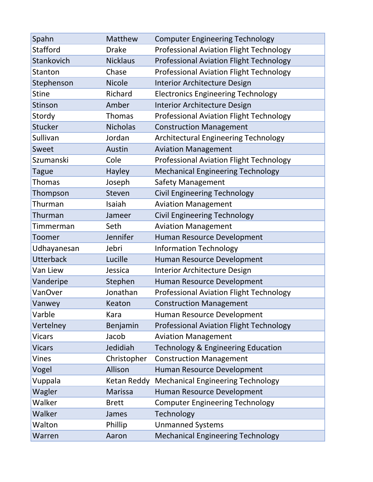| Spahn            | Matthew         | <b>Computer Engineering Technology</b>         |
|------------------|-----------------|------------------------------------------------|
| <b>Stafford</b>  | <b>Drake</b>    | <b>Professional Aviation Flight Technology</b> |
| Stankovich       | <b>Nicklaus</b> | <b>Professional Aviation Flight Technology</b> |
| Stanton          | Chase           | <b>Professional Aviation Flight Technology</b> |
| Stephenson       | <b>Nicole</b>   | Interior Architecture Design                   |
| <b>Stine</b>     | Richard         | <b>Electronics Engineering Technology</b>      |
| Stinson          | Amber           | Interior Architecture Design                   |
| Stordy           | <b>Thomas</b>   | <b>Professional Aviation Flight Technology</b> |
| <b>Stucker</b>   | <b>Nicholas</b> | <b>Construction Management</b>                 |
| Sullivan         | Jordan          | Architectural Engineering Technology           |
| <b>Sweet</b>     | <b>Austin</b>   | <b>Aviation Management</b>                     |
| Szumanski        | Cole            | <b>Professional Aviation Flight Technology</b> |
| Tague            | Hayley          | <b>Mechanical Engineering Technology</b>       |
| Thomas           | Joseph          | <b>Safety Management</b>                       |
| Thompson         | Steven          | <b>Civil Engineering Technology</b>            |
| Thurman          | Isaiah          | <b>Aviation Management</b>                     |
| Thurman          | Jameer          | <b>Civil Engineering Technology</b>            |
| Timmerman        | Seth            | <b>Aviation Management</b>                     |
| Toomer           | Jennifer        | Human Resource Development                     |
| Udhayanesan      | Jebri           | <b>Information Technology</b>                  |
| <b>Utterback</b> | Lucille         | Human Resource Development                     |
| Van Liew         | Jessica         | Interior Architecture Design                   |
| Vanderipe        | Stephen         | Human Resource Development                     |
| VanOver          | Jonathan        | <b>Professional Aviation Flight Technology</b> |
| Vanwey           | Keaton          | <b>Construction Management</b>                 |
| Varble           | Kara            | Human Resource Development                     |
| Vertelney        | Benjamin        | <b>Professional Aviation Flight Technology</b> |
| <b>Vicars</b>    | Jacob           | <b>Aviation Management</b>                     |
| <b>Vicars</b>    | Jedidiah        | <b>Technology &amp; Engineering Education</b>  |
| Vines            | Christopher     | <b>Construction Management</b>                 |
| Vogel            | Allison         | Human Resource Development                     |
| Vuppala          | Ketan Reddy     | <b>Mechanical Engineering Technology</b>       |
| Wagler           | Marissa         | Human Resource Development                     |
| Walker           | <b>Brett</b>    | <b>Computer Engineering Technology</b>         |
| Walker           | James           | Technology                                     |
| Walton           | Phillip         | <b>Unmanned Systems</b>                        |
| Warren           | Aaron           | <b>Mechanical Engineering Technology</b>       |